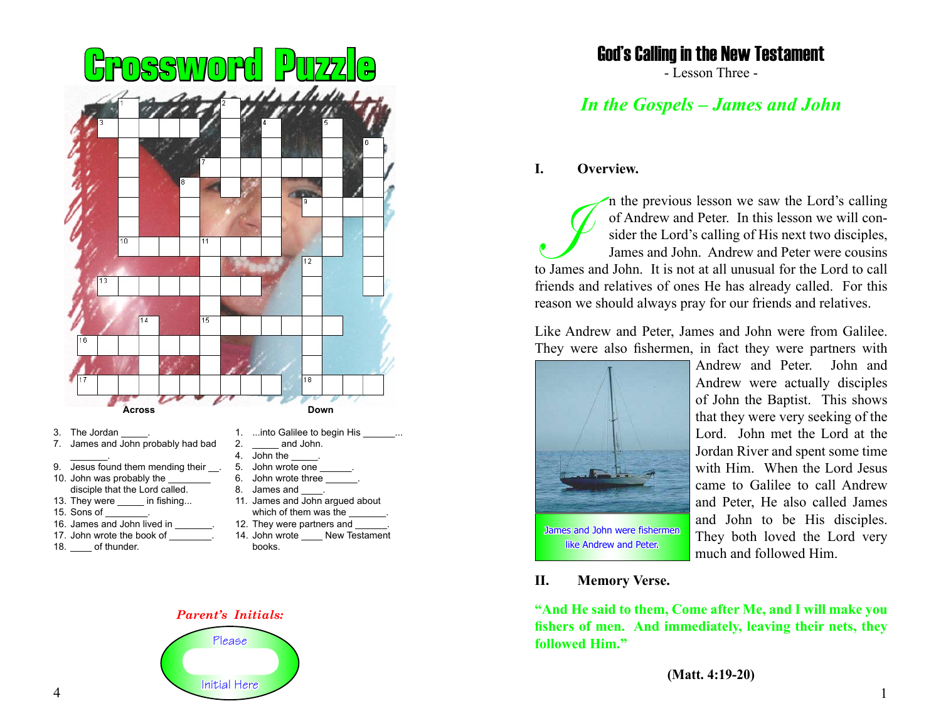

- 
- 13. They were in fishing...
- 
- 
- 17. John wrote the book of
- 18. of thunder.

14. John wrote New Testament books.

# *Parent's Initials:*



# God's Calling in the New Testament

- Lesson Three -

# *In the Gospels – James and John*

### **I. Overview.**

In the previous lesson we saw the Lord's calling<br>of Andrew and Peter. In this lesson we will con-<br>sider the Lord's calling of His next two disciples,<br>James and John. Andrew and Peter were cousins<br>to James and John. It is n of Andrew and Peter. In this lesson we will consider the Lord's calling of His next two disciples, James and John. Andrew and Peter were cousins to James and John. It is not at all unusual for the Lord to call friends and relatives of ones He has already called. For this reason we should always pray for our friends and relatives.

Like Andrew and Peter, James and John were from Galilee. They were also fishermen, in fact they were partners with



Andrew and Peter. John and Andrew were actually disciples of John the Baptist. This shows that they were very seeking of the Lord. John met the Lord at the Jordan River and spent some time with Him. When the Lord Jesus came to Galilee to call Andrew and Peter, He also called James and John to be His disciples. They both loved the Lord very much and followed Him.

#### **II. Memory Verse.**

**"And He said to them, Come after Me, and I will make you fishers of men. And immediately, leaving their nets, they followed Him."**